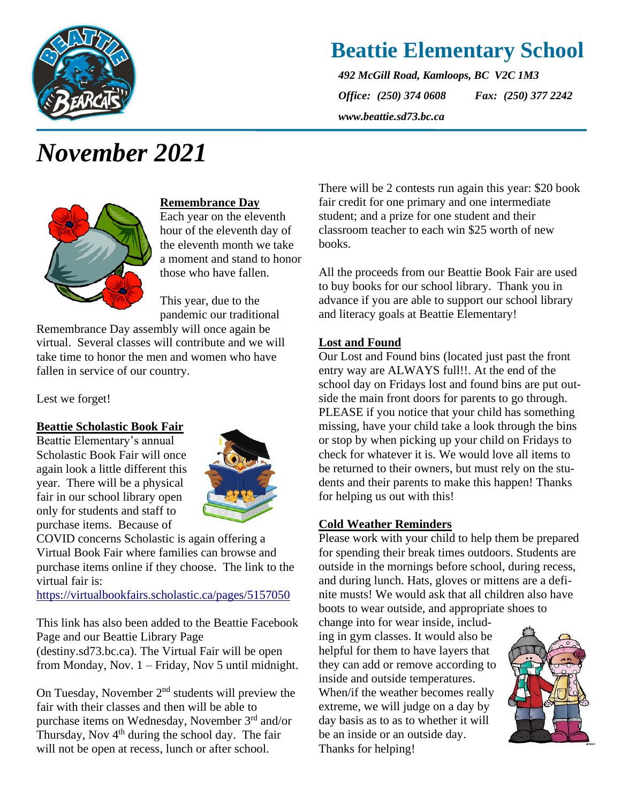

## **Beattie Elementary School**

*492 McGill Road, Kamloops, BC V2C 1M3 Office: (250) 374 0608 Fax: (250) 377 2242 www.beattie.sd73.bc.ca*

# *November 2021*



#### **Remembrance Day**

Each year on the eleventh hour of the eleventh day of the eleventh month we take a moment and stand to honor those who have fallen.

This year, due to the pandemic our traditional

Remembrance Day assembly will once again be virtual. Several classes will contribute and we will take time to honor the men and women who have fallen in service of our country.

Lest we forget!

#### **Beattie Scholastic Book Fair**

Beattie Elementary's annual Scholastic Book Fair will once again look a little different this year. There will be a physical fair in our school library open only for students and staff to purchase items. Because of



COVID concerns Scholastic is again offering a Virtual Book Fair where families can browse and purchase items online if they choose. The link to the virtual fair is:

<https://virtualbookfairs.scholastic.ca/pages/5157050>

This link has also been added to the Beattie Facebook Page and our Beattie Library Page (destiny.sd73.bc.ca). The Virtual Fair will be open from Monday, Nov. 1 – Friday, Nov 5 until midnight.

On Tuesday, November  $2<sup>nd</sup>$  students will preview the fair with their classes and then will be able to purchase items on Wednesday, November 3rd and/or Thursday, Nov  $4<sup>th</sup>$  during the school day. The fair will not be open at recess, lunch or after school.

There will be 2 contests run again this year: \$20 book fair credit for one primary and one intermediate student; and a prize for one student and their classroom teacher to each win \$25 worth of new books.

All the proceeds from our Beattie Book Fair are used to buy books for our school library. Thank you in advance if you are able to support our school library and literacy goals at Beattie Elementary!

#### **Lost and Found**

Our Lost and Found bins (located just past the front entry way are ALWAYS full!!. At the end of the school day on Fridays lost and found bins are put outside the main front doors for parents to go through. PLEASE if you notice that your child has something missing, have your child take a look through the bins or stop by when picking up your child on Fridays to check for whatever it is. We would love all items to be returned to their owners, but must rely on the students and their parents to make this happen! Thanks for helping us out with this!

#### **Cold Weather Reminders**

Please work with your child to help them be prepared for spending their break times outdoors. Students are outside in the mornings before school, during recess, and during lunch. Hats, gloves or mittens are a definite musts! We would ask that all children also have boots to wear outside, and appropriate shoes to

change into for wear inside, including in gym classes. It would also be helpful for them to have layers that they can add or remove according to inside and outside temperatures. When/if the weather becomes really extreme, we will judge on a day by day basis as to as to whether it will be an inside or an outside day. Thanks for helping!